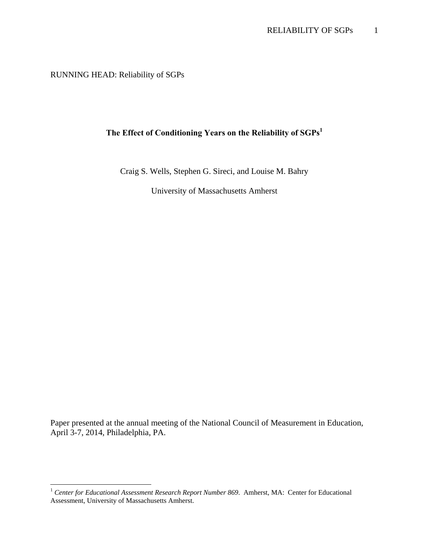RUNNING HEAD: Reliability of SGPs

 $\overline{a}$ 

# **The Effect of Conditioning Years on the Reliability of SGPs1**

Craig S. Wells, Stephen G. Sireci, and Louise M. Bahry

University of Massachusetts Amherst

Paper presented at the annual meeting of the National Council of Measurement in Education, April 3-7, 2014, Philadelphia, PA.

<sup>&</sup>lt;sup>1</sup> Center for Educational Assessment Research Report Number 869. Amherst, MA: Center for Educational Assessment, University of Massachusetts Amherst.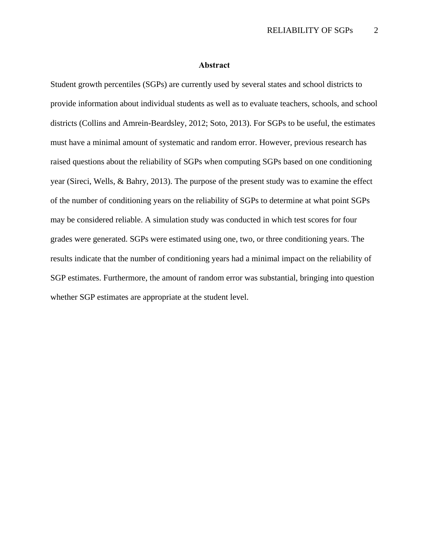#### **Abstract**

Student growth percentiles (SGPs) are currently used by several states and school districts to provide information about individual students as well as to evaluate teachers, schools, and school districts (Collins and Amrein-Beardsley, 2012; Soto, 2013). For SGPs to be useful, the estimates must have a minimal amount of systematic and random error. However, previous research has raised questions about the reliability of SGPs when computing SGPs based on one conditioning year (Sireci, Wells, & Bahry, 2013). The purpose of the present study was to examine the effect of the number of conditioning years on the reliability of SGPs to determine at what point SGPs may be considered reliable. A simulation study was conducted in which test scores for four grades were generated. SGPs were estimated using one, two, or three conditioning years. The results indicate that the number of conditioning years had a minimal impact on the reliability of SGP estimates. Furthermore, the amount of random error was substantial, bringing into question whether SGP estimates are appropriate at the student level.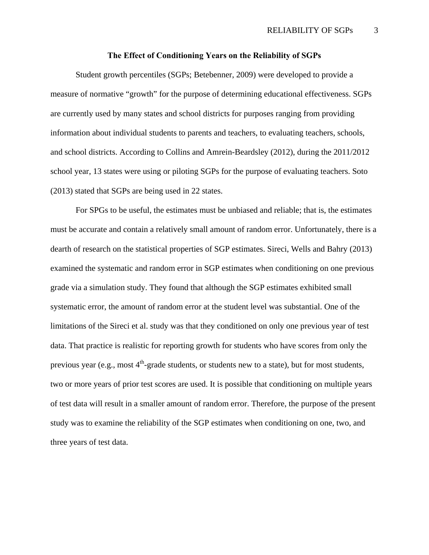## **The Effect of Conditioning Years on the Reliability of SGPs**

Student growth percentiles (SGPs; Betebenner, 2009) were developed to provide a measure of normative "growth" for the purpose of determining educational effectiveness. SGPs are currently used by many states and school districts for purposes ranging from providing information about individual students to parents and teachers, to evaluating teachers, schools, and school districts. According to Collins and Amrein-Beardsley (2012), during the 2011/2012 school year, 13 states were using or piloting SGPs for the purpose of evaluating teachers. Soto (2013) stated that SGPs are being used in 22 states.

For SPGs to be useful, the estimates must be unbiased and reliable; that is, the estimates must be accurate and contain a relatively small amount of random error. Unfortunately, there is a dearth of research on the statistical properties of SGP estimates. Sireci, Wells and Bahry (2013) examined the systematic and random error in SGP estimates when conditioning on one previous grade via a simulation study. They found that although the SGP estimates exhibited small systematic error, the amount of random error at the student level was substantial. One of the limitations of the Sireci et al. study was that they conditioned on only one previous year of test data. That practice is realistic for reporting growth for students who have scores from only the previous year (e.g., most  $4<sup>th</sup>$ -grade students, or students new to a state), but for most students, two or more years of prior test scores are used. It is possible that conditioning on multiple years of test data will result in a smaller amount of random error. Therefore, the purpose of the present study was to examine the reliability of the SGP estimates when conditioning on one, two, and three years of test data.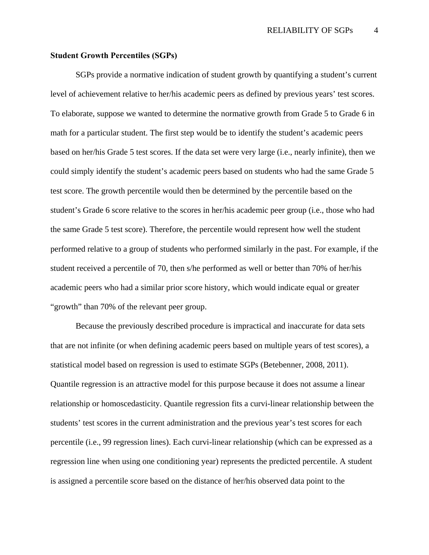# **Student Growth Percentiles (SGPs)**

SGPs provide a normative indication of student growth by quantifying a student's current level of achievement relative to her/his academic peers as defined by previous years' test scores. To elaborate, suppose we wanted to determine the normative growth from Grade 5 to Grade 6 in math for a particular student. The first step would be to identify the student's academic peers based on her/his Grade 5 test scores. If the data set were very large (i.e., nearly infinite), then we could simply identify the student's academic peers based on students who had the same Grade 5 test score. The growth percentile would then be determined by the percentile based on the student's Grade 6 score relative to the scores in her/his academic peer group (i.e., those who had the same Grade 5 test score). Therefore, the percentile would represent how well the student performed relative to a group of students who performed similarly in the past. For example, if the student received a percentile of 70, then s/he performed as well or better than 70% of her/his academic peers who had a similar prior score history, which would indicate equal or greater "growth" than 70% of the relevant peer group.

 Because the previously described procedure is impractical and inaccurate for data sets that are not infinite (or when defining academic peers based on multiple years of test scores), a statistical model based on regression is used to estimate SGPs (Betebenner, 2008, 2011). Quantile regression is an attractive model for this purpose because it does not assume a linear relationship or homoscedasticity. Quantile regression fits a curvi-linear relationship between the students' test scores in the current administration and the previous year's test scores for each percentile (i.e., 99 regression lines). Each curvi-linear relationship (which can be expressed as a regression line when using one conditioning year) represents the predicted percentile. A student is assigned a percentile score based on the distance of her/his observed data point to the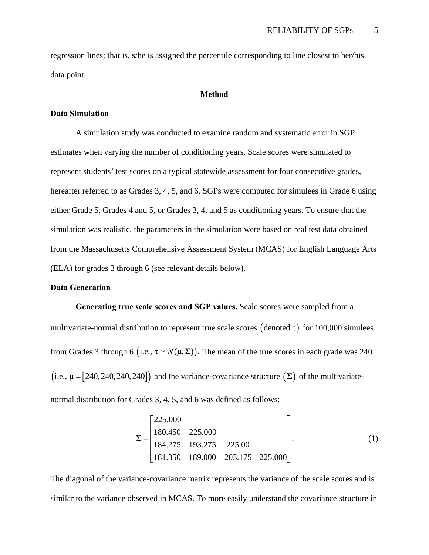regression lines; that is, s/he is assigned the percentile corresponding to line closest to her/his data point.

# **Method**

## **Data Simulation**

 A simulation study was conducted to examine random and systematic error in SGP estimates when varying the number of conditioning years. Scale scores were simulated to represent students' test scores on a typical statewide assessment for four consecutive grades, hereafter referred to as Grades 3, 4, 5, and 6. SGPs were computed for simulees in Grade 6 using either Grade 5, Grades 4 and 5, or Grades 3, 4, and 5 as conditioning years. To ensure that the simulation was realistic, the parameters in the simulation were based on real test data obtained from the Massachusetts Comprehensive Assessment System (MCAS) for English Language Arts (ELA) for grades 3 through 6 (see relevant details below).

# **Data Generation**

**Generating true scale scores and SGP values.** Scale scores were sampled from a multivariate-normal distribution to represent true scale scores (denoted  $\tau$ ) for 100,000 simulees from Grades 3 through 6 (i.e.,  $\tau \sim N(\mu, \Sigma)$ ). The mean of the true scores in each grade was 240  $(i.e., \mu = [240, 240, 240, 240])$  and the variance-covariance structure  $(\Sigma)$  of the multivariatenormal distribution for Grades 3, 4, 5, and 6 was defined as follows:

$$
\Sigma = \begin{bmatrix} 225.000 \\ 180.450 & 225.000 \\ 184.275 & 193.275 & 225.00 \\ 181.350 & 189.000 & 203.175 & 225.000 \end{bmatrix}.
$$
 (1)

The diagonal of the variance-covariance matrix represents the variance of the scale scores and is similar to the variance observed in MCAS. To more easily understand the covariance structure in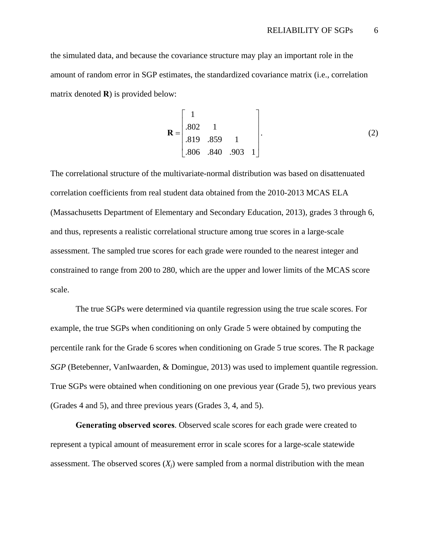the simulated data, and because the covariance structure may play an important role in the amount of random error in SGP estimates, the standardized covariance matrix (i.e., correlation matrix denoted **R**) is provided below:

$$
\mathbf{R} = \begin{bmatrix} 1 \\ .802 & 1 \\ .819 & .859 & 1 \\ .806 & .840 & .903 & 1 \end{bmatrix} .
$$
 (2)

The correlational structure of the multivariate-normal distribution was based on disattenuated correlation coefficients from real student data obtained from the 2010-2013 MCAS ELA (Massachusetts Department of Elementary and Secondary Education, 2013), grades 3 through 6, and thus, represents a realistic correlational structure among true scores in a large-scale assessment. The sampled true scores for each grade were rounded to the nearest integer and constrained to range from 200 to 280, which are the upper and lower limits of the MCAS score scale.

The true SGPs were determined via quantile regression using the true scale scores. For example, the true SGPs when conditioning on only Grade 5 were obtained by computing the percentile rank for the Grade 6 scores when conditioning on Grade 5 true scores. The R package *SGP* (Betebenner, VanIwaarden, & Domingue, 2013) was used to implement quantile regression. True SGPs were obtained when conditioning on one previous year (Grade 5), two previous years (Grades 4 and 5), and three previous years (Grades 3, 4, and 5).

**Generating observed scores**. Observed scale scores for each grade were created to represent a typical amount of measurement error in scale scores for a large-scale statewide assessment. The observed scores  $(X_i)$  were sampled from a normal distribution with the mean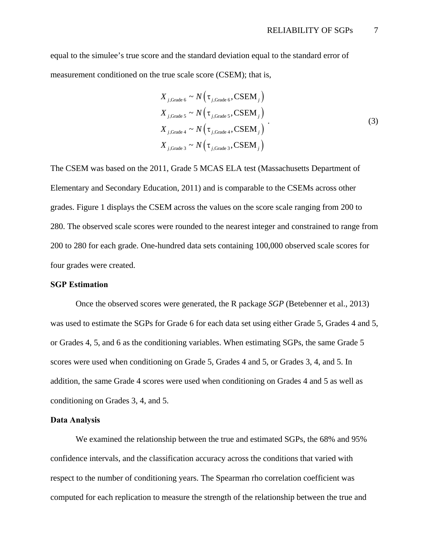equal to the simulee's true score and the standard deviation equal to the standard error of measurement conditioned on the true scale score (CSEM); that is,

$$
X_{j, \text{Grade } 6} \sim N(\tau_{j, \text{Grade } 6}, \text{CSEM}_{j})
$$
  
\n
$$
X_{j, \text{Grade } 5} \sim N(\tau_{j, \text{Grade } 5}, \text{CSEM}_{j})
$$
  
\n
$$
X_{j, \text{Grade } 4} \sim N(\tau_{j, \text{Grade } 4}, \text{CSEM}_{j})
$$
  
\n
$$
X_{j, \text{Grade } 3} \sim N(\tau_{j, \text{Grade } 3}, \text{CSEM}_{j})
$$
  
\n(3)

The CSEM was based on the 2011, Grade 5 MCAS ELA test (Massachusetts Department of Elementary and Secondary Education, 2011) and is comparable to the CSEMs across other grades. Figure 1 displays the CSEM across the values on the score scale ranging from 200 to 280. The observed scale scores were rounded to the nearest integer and constrained to range from 200 to 280 for each grade. One-hundred data sets containing 100,000 observed scale scores for four grades were created.

## **SGP Estimation**

 Once the observed scores were generated, the R package *SGP* (Betebenner et al., 2013) was used to estimate the SGPs for Grade 6 for each data set using either Grade 5, Grades 4 and 5, or Grades 4, 5, and 6 as the conditioning variables. When estimating SGPs, the same Grade 5 scores were used when conditioning on Grade 5, Grades 4 and 5, or Grades 3, 4, and 5. In addition, the same Grade 4 scores were used when conditioning on Grades 4 and 5 as well as conditioning on Grades 3, 4, and 5.

# **Data Analysis**

We examined the relationship between the true and estimated SGPs, the 68% and 95% confidence intervals, and the classification accuracy across the conditions that varied with respect to the number of conditioning years. The Spearman rho correlation coefficient was computed for each replication to measure the strength of the relationship between the true and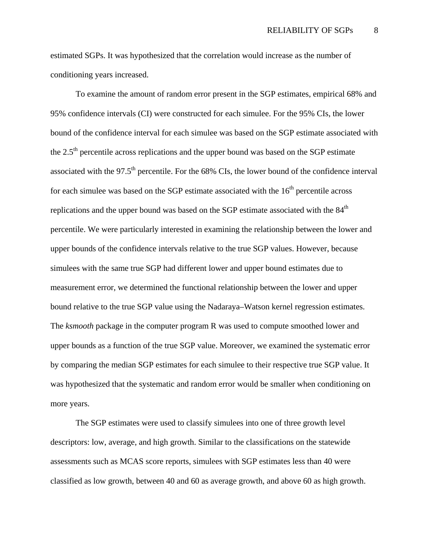estimated SGPs. It was hypothesized that the correlation would increase as the number of conditioning years increased.

 To examine the amount of random error present in the SGP estimates, empirical 68% and 95% confidence intervals (CI) were constructed for each simulee. For the 95% CIs, the lower bound of the confidence interval for each simulee was based on the SGP estimate associated with the  $2.5<sup>th</sup>$  percentile across replications and the upper bound was based on the SGP estimate associated with the  $97.5<sup>th</sup>$  percentile. For the 68% CIs, the lower bound of the confidence interval for each simulee was based on the SGP estimate associated with the  $16<sup>th</sup>$  percentile across replications and the upper bound was based on the SGP estimate associated with the  $84<sup>th</sup>$ percentile. We were particularly interested in examining the relationship between the lower and upper bounds of the confidence intervals relative to the true SGP values. However, because simulees with the same true SGP had different lower and upper bound estimates due to measurement error, we determined the functional relationship between the lower and upper bound relative to the true SGP value using the Nadaraya–Watson kernel regression estimates. The *ksmooth* package in the computer program R was used to compute smoothed lower and upper bounds as a function of the true SGP value. Moreover, we examined the systematic error by comparing the median SGP estimates for each simulee to their respective true SGP value. It was hypothesized that the systematic and random error would be smaller when conditioning on more years.

 The SGP estimates were used to classify simulees into one of three growth level descriptors: low, average, and high growth. Similar to the classifications on the statewide assessments such as MCAS score reports, simulees with SGP estimates less than 40 were classified as low growth, between 40 and 60 as average growth, and above 60 as high growth.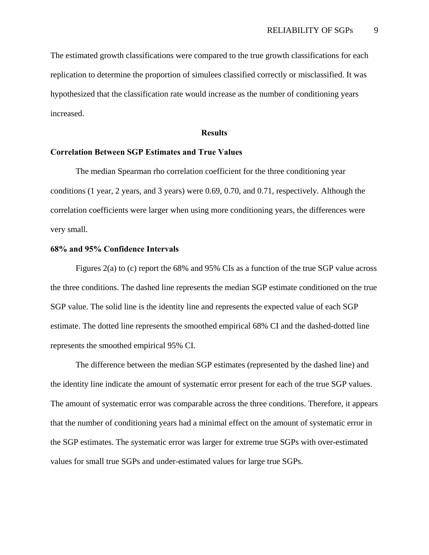The estimated growth classifications were compared to the true growth classifications for each replication to determine the proportion of simulees classified correctly or misclassified. It was hypothesized that the classification rate would increase as the number of conditioning years increased.

#### **Results**

# **Correlation Between SGP Estimates and True Values**

The median Spearman rho correlation coefficient for the three conditioning year conditions (1 year, 2 years, and 3 years) were 0.69, 0.70, and 0.71, respectively. Although the correlation coefficients were larger when using more conditioning years, the differences were very small.

## **68% and 95% Confidence Intervals**

Figures 2(a) to (c) report the 68% and 95% CIs as a function of the true SGP value across the three conditions. The dashed line represents the median SGP estimate conditioned on the true SGP value. The solid line is the identity line and represents the expected value of each SGP estimate. The dotted line represents the smoothed empirical 68% CI and the dashed-dotted line represents the smoothed empirical 95% CI.

The difference between the median SGP estimates (represented by the dashed line) and the identity line indicate the amount of systematic error present for each of the true SGP values. The amount of systematic error was comparable across the three conditions. Therefore, it appears that the number of conditioning years had a minimal effect on the amount of systematic error in the SGP estimates. The systematic error was larger for extreme true SGPs with over-estimated values for small true SGPs and under-estimated values for large true SGPs.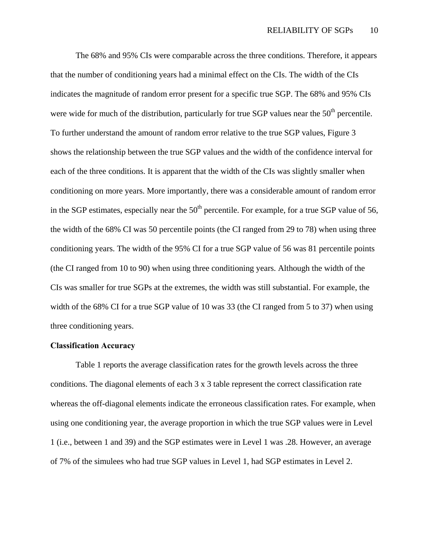The 68% and 95% CIs were comparable across the three conditions. Therefore, it appears that the number of conditioning years had a minimal effect on the CIs. The width of the CIs indicates the magnitude of random error present for a specific true SGP. The 68% and 95% CIs were wide for much of the distribution, particularly for true SGP values near the  $50<sup>th</sup>$  percentile. To further understand the amount of random error relative to the true SGP values, Figure 3 shows the relationship between the true SGP values and the width of the confidence interval for each of the three conditions. It is apparent that the width of the CIs was slightly smaller when conditioning on more years. More importantly, there was a considerable amount of random error in the SGP estimates, especially near the  $50<sup>th</sup>$  percentile. For example, for a true SGP value of 56, the width of the 68% CI was 50 percentile points (the CI ranged from 29 to 78) when using three conditioning years. The width of the 95% CI for a true SGP value of 56 was 81 percentile points (the CI ranged from 10 to 90) when using three conditioning years. Although the width of the CIs was smaller for true SGPs at the extremes, the width was still substantial. For example, the width of the 68% CI for a true SGP value of 10 was 33 (the CI ranged from 5 to 37) when using three conditioning years.

# **Classification Accuracy**

Table 1 reports the average classification rates for the growth levels across the three conditions. The diagonal elements of each 3 x 3 table represent the correct classification rate whereas the off-diagonal elements indicate the erroneous classification rates. For example, when using one conditioning year, the average proportion in which the true SGP values were in Level 1 (i.e., between 1 and 39) and the SGP estimates were in Level 1 was .28. However, an average of 7% of the simulees who had true SGP values in Level 1, had SGP estimates in Level 2.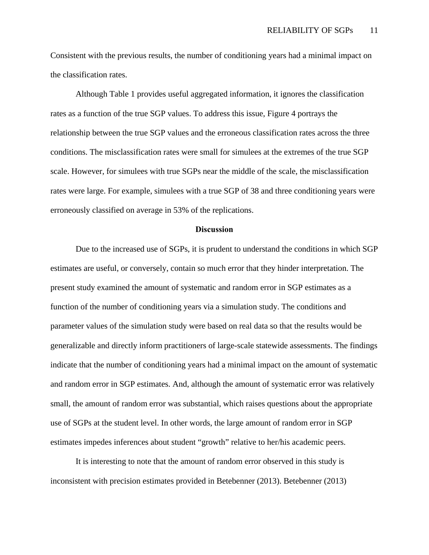Consistent with the previous results, the number of conditioning years had a minimal impact on the classification rates.

Although Table 1 provides useful aggregated information, it ignores the classification rates as a function of the true SGP values. To address this issue, Figure 4 portrays the relationship between the true SGP values and the erroneous classification rates across the three conditions. The misclassification rates were small for simulees at the extremes of the true SGP scale. However, for simulees with true SGPs near the middle of the scale, the misclassification rates were large. For example, simulees with a true SGP of 38 and three conditioning years were erroneously classified on average in 53% of the replications.

## **Discussion**

 Due to the increased use of SGPs, it is prudent to understand the conditions in which SGP estimates are useful, or conversely, contain so much error that they hinder interpretation. The present study examined the amount of systematic and random error in SGP estimates as a function of the number of conditioning years via a simulation study. The conditions and parameter values of the simulation study were based on real data so that the results would be generalizable and directly inform practitioners of large-scale statewide assessments. The findings indicate that the number of conditioning years had a minimal impact on the amount of systematic and random error in SGP estimates. And, although the amount of systematic error was relatively small, the amount of random error was substantial, which raises questions about the appropriate use of SGPs at the student level. In other words, the large amount of random error in SGP estimates impedes inferences about student "growth" relative to her/his academic peers.

 It is interesting to note that the amount of random error observed in this study is inconsistent with precision estimates provided in Betebenner (2013). Betebenner (2013)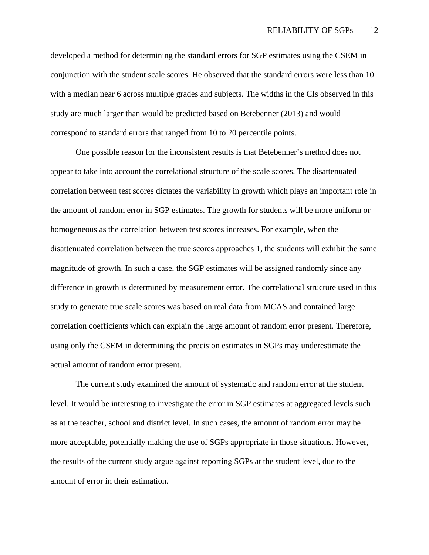developed a method for determining the standard errors for SGP estimates using the CSEM in conjunction with the student scale scores. He observed that the standard errors were less than 10 with a median near 6 across multiple grades and subjects. The widths in the CIs observed in this study are much larger than would be predicted based on Betebenner (2013) and would correspond to standard errors that ranged from 10 to 20 percentile points.

One possible reason for the inconsistent results is that Betebenner's method does not appear to take into account the correlational structure of the scale scores. The disattenuated correlation between test scores dictates the variability in growth which plays an important role in the amount of random error in SGP estimates. The growth for students will be more uniform or homogeneous as the correlation between test scores increases. For example, when the disattenuated correlation between the true scores approaches 1, the students will exhibit the same magnitude of growth. In such a case, the SGP estimates will be assigned randomly since any difference in growth is determined by measurement error. The correlational structure used in this study to generate true scale scores was based on real data from MCAS and contained large correlation coefficients which can explain the large amount of random error present. Therefore, using only the CSEM in determining the precision estimates in SGPs may underestimate the actual amount of random error present.

The current study examined the amount of systematic and random error at the student level. It would be interesting to investigate the error in SGP estimates at aggregated levels such as at the teacher, school and district level. In such cases, the amount of random error may be more acceptable, potentially making the use of SGPs appropriate in those situations. However, the results of the current study argue against reporting SGPs at the student level, due to the amount of error in their estimation.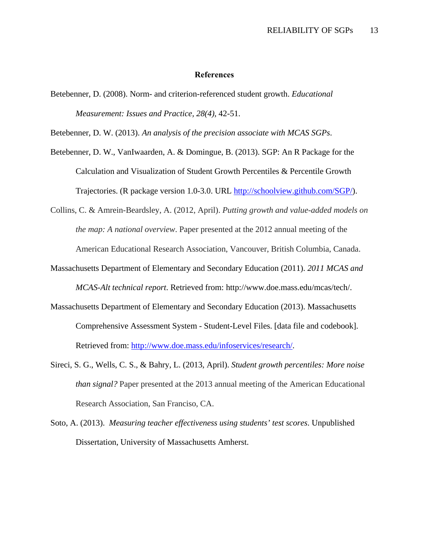## **References**

Betebenner, D. (2008). Norm- and criterion-referenced student growth. *Educational Measurement: Issues and Practice, 28(4),* 42-51.

Betebenner, D. W. (2013). *An analysis of the precision associate with MCAS SGPs*.

- Betebenner, D. W., VanIwaarden, A. & Domingue, B. (2013). SGP: An R Package for the Calculation and Visualization of Student Growth Percentiles & Percentile Growth Trajectories. (R package version 1.0-3.0. URL http://schoolview.github.com/SGP/).
- Collins, C. & Amrein-Beardsley, A. (2012, April). *Putting growth and value-added models on the map: A national overview*. Paper presented at the 2012 annual meeting of the American Educational Research Association, Vancouver, British Columbia, Canada.
- Massachusetts Department of Elementary and Secondary Education (2011). *2011 MCAS and MCAS-Alt technical report*. Retrieved from: http://www.doe.mass.edu/mcas/tech/.
- Massachusetts Department of Elementary and Secondary Education (2013). Massachusetts Comprehensive Assessment System - Student-Level Files. [data file and codebook]. Retrieved from: http://www.doe.mass.edu/infoservices/research/.
- Sireci, S. G., Wells, C. S., & Bahry, L. (2013, April). *Student growth percentiles: More noise than signal?* Paper presented at the 2013 annual meeting of the American Educational Research Association, San Franciso, CA.
- Soto, A. (2013). *Measuring teacher effectiveness using students' test scores*. Unpublished Dissertation, University of Massachusetts Amherst.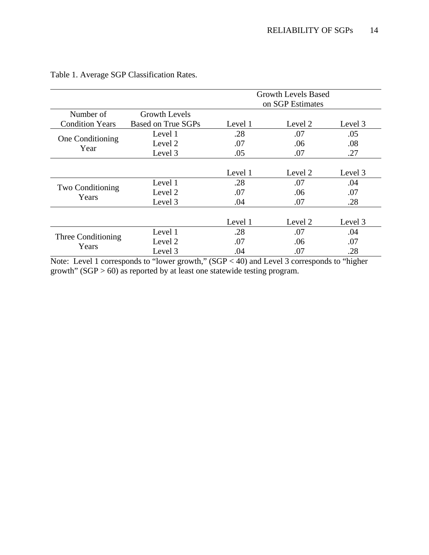|                             |                      | <b>Growth Levels Based</b><br>on SGP Estimates |         |         |  |
|-----------------------------|----------------------|------------------------------------------------|---------|---------|--|
| Number of                   | <b>Growth Levels</b> |                                                |         |         |  |
| <b>Condition Years</b>      | Based on True SGPs   | Level 1                                        | Level 2 | Level 3 |  |
| One Conditioning<br>Year    | Level 1              | .28                                            | .07     | .05     |  |
|                             | Level 2              | .07                                            | .06     | .08     |  |
|                             | Level 3              | .05                                            | .07     | .27     |  |
|                             |                      |                                                |         |         |  |
|                             |                      | Level 1                                        | Level 2 | Level 3 |  |
| Two Conditioning<br>Years   | Level 1              | .28                                            | .07     | .04     |  |
|                             | Level 2              | .07                                            | .06     | .07     |  |
|                             | Level 3              | .04                                            | .07     | .28     |  |
|                             |                      |                                                |         |         |  |
|                             |                      | Level 1                                        | Level 2 | Level 3 |  |
| Three Conditioning<br>Years | Level 1              | .28                                            | .07     | .04     |  |
|                             | Level 2              | .07                                            | .06     | .07     |  |
|                             | Level 3              | .04                                            | .07     | .28     |  |

Table 1. Average SGP Classification Rates.

Note: Level 1 corresponds to "lower growth," (SGP < 40) and Level 3 corresponds to "higher growth"  $(SGP > 60)$  as reported by at least one statewide testing program.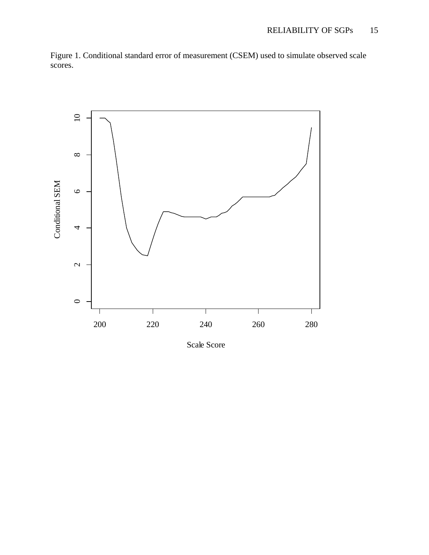Figure 1. Conditional standard error of measurement (CSEM) used to simulate observed scale scores.



Scale Score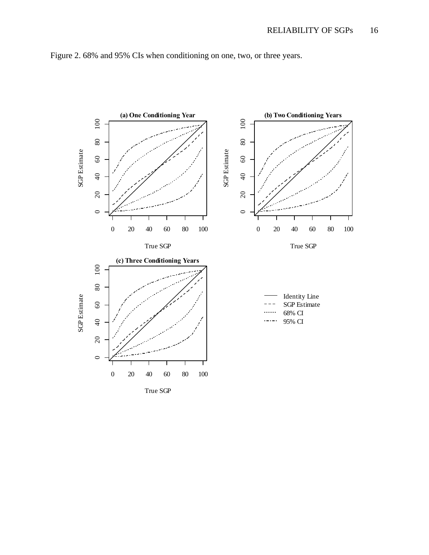

Figure 2. 68% and 95% CIs when conditioning on one, two, or three years.

True SGP

0 20 40 60 80 100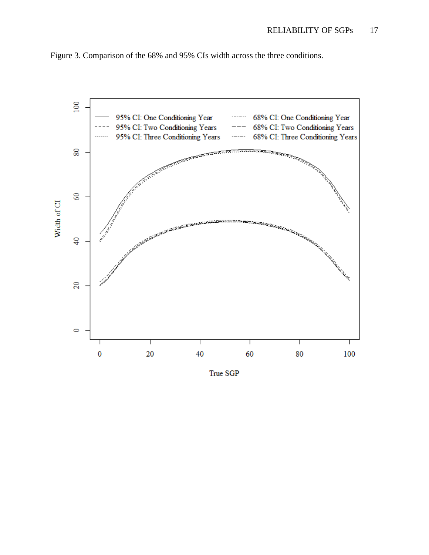

Figure 3. Comparison of the 68% and 95% CIs width across the three conditions.

True SGP